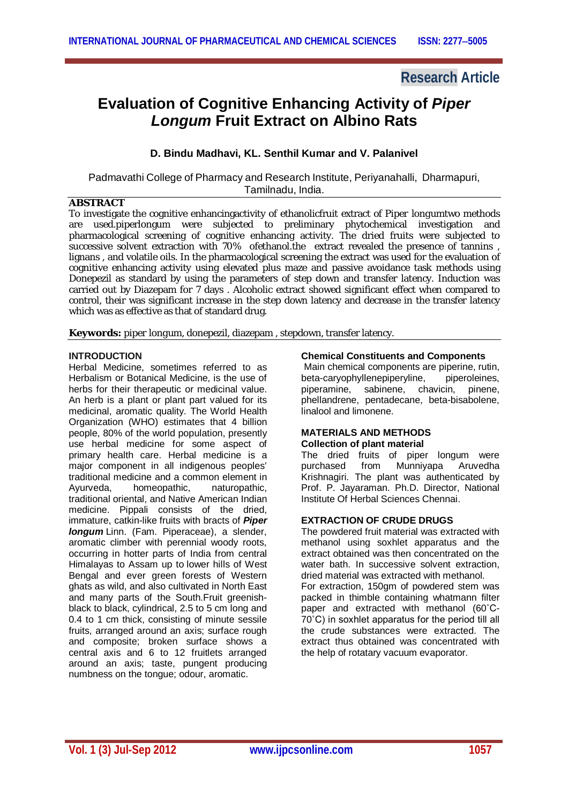# **Research Article**

# **Evaluation of Cognitive Enhancing Activity of** *Piper Longum* **Fruit Extract on Albino Rats**

# **D. Bindu Madhavi, KL. Senthil Kumar and V. Palanivel**

Padmavathi College of Pharmacy and Research Institute, Periyanahalli, Dharmapuri, Tamilnadu, India.

## **ABSTRACT**

To investigate the cognitive enhancingactivity of ethanolicfruit extract of *Piper longum*two methods are used.piperlongum were subjected to preliminary phytochemical investigation and pharmacological screening of cognitive enhancing activity. The dried fruits were subjected to successive solvent extraction with 70% ofethanol.the extract revealed the presence of tannins lignans , and volatile oils. In the pharmacological screening the extract was used for the evaluation of cognitive enhancing activity using elevated plus maze and passive avoidance task methods using Donepezil as standard by using the parameters of step down and transfer latency. Induction was carried out by Diazepam for 7 days . Alcoholic extract showed significant effect when compared to control, their was significant increase in the step down latency and decrease in the transfer latency which was as effective as that of standard drug.

**Keywords:** *piper longum*, donepezil, diazepam , stepdown, transfer latency.

### **INTRODUCTION**

Herbal Medicine, sometimes referred to as Herbalism or Botanical Medicine, is the use of herbs for their therapeutic or medicinal value. An herb is a plant or plant part valued for its medicinal, aromatic quality. The World Health Organization (WHO) estimates that 4 billion people, 80% of the world population, presently use herbal medicine for some aspect of primary health care. Herbal medicine is a major component in all indigenous peoples' traditional medicine and a common element in Ayurveda, homeopathic, naturopathic, traditional oriental, and Native American Indian medicine. Pippali consists of the dried, immature, catkin-like fruits with bracts of *Piper longum* Linn. (Fam. Piperaceae), a slender, aromatic climber with perennial woody roots, occurring in hotter parts of India from central Himalayas to Assam up to lower hills of West Bengal and ever green forests of Western ghats as wild, and also cultivated in North East and many parts of the South.Fruit greenishblack to black, cylindrical, 2.5 to 5 cm long and 0.4 to 1 cm thick, consisting of minute sessile fruits, arranged around an axis; surface rough and composite; broken surface shows a central axis and 6 to 12 fruitlets arranged around an axis; taste, pungent producing numbness on the tongue; odour, aromatic.

#### **Chemical Constituents and Components**

Main chemical components are piperine, rutin,<br>beta-caryophyllenepiperyline, piperoleines, beta-caryophyllenepiperyline, piperamine, sabinene, chavicin, pinene, phellandrene, pentadecane, beta-bisabolene, linalool and limonene.

#### **MATERIALS AND METHODS Collection of plant material**

The dried fruits of piper longum were purchased from Munniyapa Aruvedha Krishnagiri. The plant was authenticated by Prof. P. Jayaraman. Ph.D. Director, National Institute Of Herbal Sciences Chennai.

### **EXTRACTION OF CRUDE DRUGS**

The powdered fruit material was extracted with methanol using soxhlet apparatus and the extract obtained was then concentrated on the water bath. In successive solvent extraction, dried material was extracted with methanol.

For extraction, 150gm of powdered stem was packed in thimble containing whatmann filter paper and extracted with methanol (60˚C-70˚C) in soxhlet apparatus for the period till all the crude substances were extracted. The extract thus obtained was concentrated with the help of rotatary vacuum evaporator.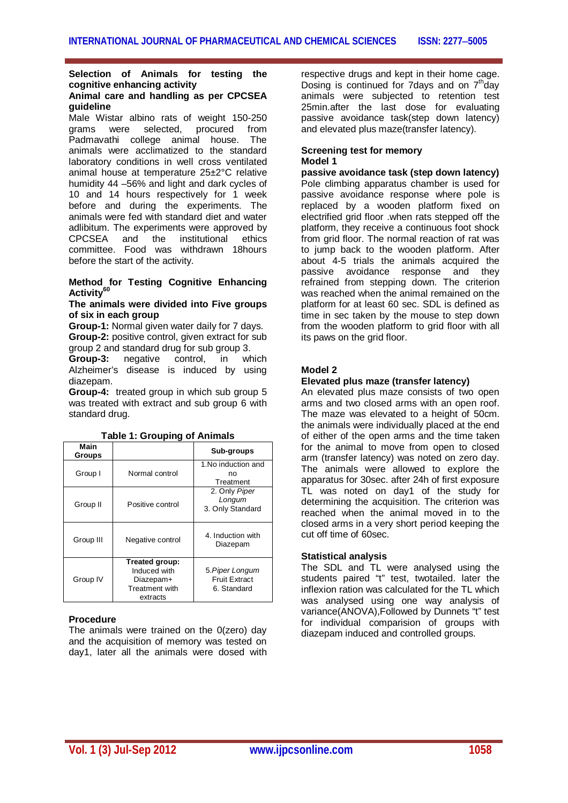#### **Selection of Animals for testing the cognitive enhancing activity Animal care and handling as per CPCSEA guideline**

Male Wistar albino rats of weight 150-250 grams were selected, procured from<br>Padmavathi college animal house. The Padmavathi college animal house. animals were acclimatized to the standard laboratory conditions in well cross ventilated animal house at temperature 25±2°C relative humidity 44 –56% and light and dark cycles of 10 and 14 hours respectively for 1 week before and during the experiments. The animals were fed with standard diet and water adlibitum. The experiments were approved by<br>CPCSEA and the institutional ethics  $CPCSEA$  and the committee. Food was withdrawn 18hours before the start of the activity.

## **Method for Testing Cognitive Enhancing Activity<sup>60</sup>**

#### **The animals were divided into Five groups of six in each group**

**Group-1:** Normal given water daily for 7 days. **Group-2:** positive control, given extract for sub

group 2 and standard drug for sub group 3.<br>**Group-3:** negative control. in wh **Group-3:** negative control, in which Alzheimer's disease is induced by using diazepam.

**Group-4:** treated group in which sub group 5 was treated with extract and sub group 6 with standard drug.

| Main<br>Groups |                                                                                  | Sub-groups                                             |
|----------------|----------------------------------------------------------------------------------|--------------------------------------------------------|
| Group I        | Normal control                                                                   | 1. No induction and<br>no<br>Treatment                 |
| Group II       | Positive control                                                                 | 2. Only Piper<br>Longum<br>3. Only Standard            |
| Group III      | Negative control                                                                 | 4. Induction with<br>Diazepam                          |
| Group IV       | Treated group:<br>Induced with<br>Diazepam+<br><b>Treatment with</b><br>extracts | 5. Piper Longum<br><b>Fruit Extract</b><br>6. Standard |

#### **Table 1: Grouping of Animals**

### **Procedure**

The animals were trained on the 0(zero) day and the acquisition of memory was tested on day1, later all the animals were dosed with respective drugs and kept in their home cage. Dosing is continued for 7 days and on  $7<sup>th</sup>$  day animals were subjected to retention test 25min.after the last dose for evaluating passive avoidance task(step down latency) and elevated plus maze(transfer latency).

#### **Screening test for memory Model 1**

**passive avoidance task (step down latency)** Pole climbing apparatus chamber is used for passive avoidance response where pole is replaced by a wooden platform fixed on electrified grid floor .when rats stepped off the platform, they receive a continuous foot shock from grid floor. The normal reaction of rat was to jump back to the wooden platform. After about 4-5 trials the animals acquired the passive avoidance response and they refrained from stepping down. The criterion was reached when the animal remained on the platform for at least 60 sec. SDL is defined as time in sec taken by the mouse to step down from the wooden platform to grid floor with all its paws on the grid floor.

# **Model 2**

## **Elevated plus maze (transfer latency)**

An elevated plus maze consists of two open arms and two closed arms with an open roof. The maze was elevated to a height of 50cm. the animals were individually placed at the end of either of the open arms and the time taken for the animal to move from open to closed arm (transfer latency) was noted on zero day. The animals were allowed to explore the apparatus for 30sec. after 24h of first exposure TL was noted on day1 of the study for determining the acquisition. The criterion was reached when the animal moved in to the closed arms in a very short period keeping the cut off time of 60sec.

### **Statistical analysis**

The SDL and TL were analysed using the students paired "t" test, twotailed. later the inflexion ration was calculated for the TL which was analysed using one way analysis of variance(ANOVA),Followed by Dunnets "t" test for individual comparision of groups with diazepam induced and controlled groups.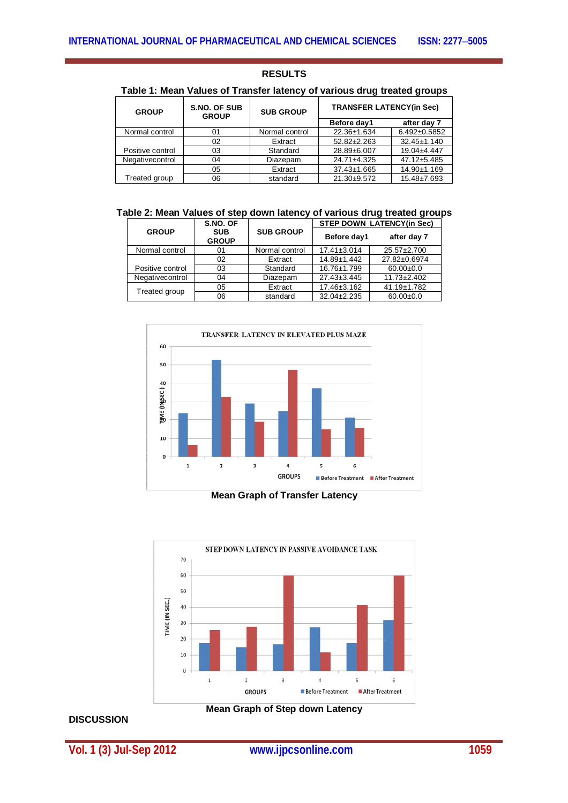## **RESULTS**

# **Table 1: Mean Values of Transfer latency of various drug treated groups**

| <b>GROUP</b>     | S.NO. OF SUB<br><b>GROUP</b> | <b>SUB GROUP</b> | <b>TRANSFER LATENCY(in Sec)</b> |                    |
|------------------|------------------------------|------------------|---------------------------------|--------------------|
|                  |                              |                  | Before day1                     | after day 7        |
| Normal control   | 01                           | Normal control   | 22.36±1.634                     | $6.492 \pm 0.5852$ |
|                  | 02                           | Extract          | $52.82 \pm 2.263$               | $32.45 \pm 1.140$  |
| Positive control | 03                           | Standard         | 28.89±6.007                     | 19.04±4.447        |
| Negativecontrol  | 04                           | Diazepam         | 24.71±4.325                     | 47.12±5.485        |
|                  | 05                           | Extract          | 37.43±1.665                     | 14.90±1.169        |
| Treated group    | 06                           | standard         | $21.30+9.572$                   | 15.48±7.693        |

| Table 2: Mean Values of step down latency of various drug treated groups |  |  |  |
|--------------------------------------------------------------------------|--|--|--|
|--------------------------------------------------------------------------|--|--|--|

|                  | S.NO. OF                   | <b>SUB GROUP</b> | <b>STEP DOWN LATENCY(in Sec)</b> |                   |
|------------------|----------------------------|------------------|----------------------------------|-------------------|
| <b>GROUP</b>     | <b>SUB</b><br><b>GROUP</b> |                  | Before day1                      | after day 7       |
| Normal control   | 01                         | Normal control   | $17.41 \pm 3.014$                | 25.57±2.700       |
|                  | 02                         | Extract          | 14.89±1.442                      | 27.82±0.6974      |
| Positive control | 03                         | Standard         | 16.76±1.799                      | $60.00 \pm 0.0$   |
| Negativecontrol  | 04                         | Diazepam         | 27.43±3.445                      | $11.73 \pm 2.402$ |
| Treated group    | 05                         | Extract          | 17.46±3.162                      | 41.19±1.782       |
|                  | 06                         | standard         | 32.04±2.235                      | $60.00 \pm 0.0$   |



**Mean Graph of Transfer Latency**



#### **DISCUSSION**

**Mean Graph of Step down Latency**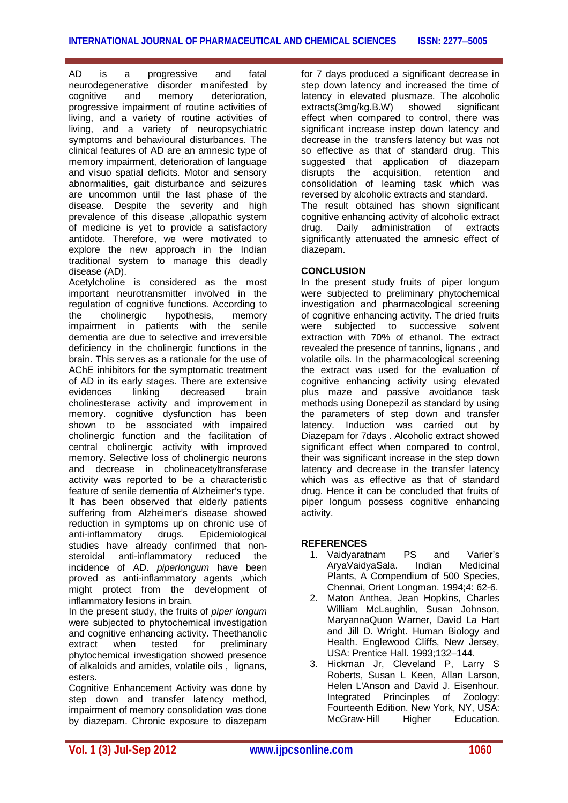AD is a progressive and fatal neurodegenerative disorder manifested by cognitive and memory deterioration, progressive impairment of routine activities of living, and a variety of routine activities of living, and a variety of neuropsychiatric symptoms and behavioural disturbances. The clinical features of AD are an amnesic type of memory impairment, deterioration of language and visuo spatial deficits. Motor and sensory abnormalities, gait disturbance and seizures are uncommon until the last phase of the disease. Despite the severity and high prevalence of this disease ,allopathic system of medicine is yet to provide a satisfactory antidote. Therefore, we were motivated to explore the new approach in the Indian traditional system to manage this deadly disease (AD).

Acetylcholine is considered as the most important neurotransmitter involved in the regulation of cognitive functions. According to the cholinergic hypothesis, memory impairment in patients with the senile dementia are due to selective and irreversible deficiency in the cholinergic functions in the brain. This serves as a rationale for the use of AChE inhibitors for the symptomatic treatment of AD in its early stages. There are extensive evidences linking decreased brain cholinesterase activity and improvement in memory. cognitive dysfunction has been shown to be associated with impaired cholinergic function and the facilitation of central cholinergic activity with improved memory. Selective loss of cholinergic neurons and decrease in cholineacetyltransferase activity was reported to be a characteristic feature of senile dementia of Alzheimer's type. It has been observed that elderly patients suffering from Alzheimer's disease showed reduction in symptoms up on chronic use of anti-inflammatory drugs. Epidemiological studies have already confirmed that nonsteroidal anti-inflammatory reduced the incidence of AD. *piperlongum* have been proved as anti-inflammatory agents ,which might protect from the development of inflammatory lesions in brain.

In the present study, the fruits of *piper longum* were subjected to phytochemical investigation and cognitive enhancing activity. Theethanolic extract when tested for preliminary phytochemical investigation showed presence of alkaloids and amides, volatile oils , lignans, esters.

Cognitive Enhancement Activity was done by step down and transfer latency method, impairment of memory consolidation was done by diazepam. Chronic exposure to diazepam for 7 days produced a significant decrease in step down latency and increased the time of latency in elevated plusmaze. The alcoholic<br>extracts(3mg/kg.B.W) showed significant showed significant effect when compared to control, there was significant increase instep down latency and decrease in the transfers latency but was not so effective as that of standard drug. This suggested that application of diazepam disrupts the acquisition, retention and consolidation of learning task which was reversed by alcoholic extracts and standard. The result obtained has shown significant cognitive enhancing activity of alcoholic extract<br>drug. Daily administration of extracts drug. Daily administration of significantly attenuated the amnesic effect of diazepam.

## **CONCLUSION**

In the present study fruits of piper longum were subjected to preliminary phytochemical investigation and pharmacological screening of cognitive enhancing activity. The dried fruits were subjected to successive solvent extraction with 70% of ethanol. The extract revealed the presence of tannins, lignans , and volatile oils. In the pharmacological screening the extract was used for the evaluation of cognitive enhancing activity using elevated plus maze and passive avoidance task methods using Donepezil as standard by using the parameters of step down and transfer latency. Induction was carried out by Diazepam for 7days . Alcoholic extract showed significant effect when compared to control. their was significant increase in the step down latency and decrease in the transfer latency which was as effective as that of standard drug. Hence it can be concluded that fruits of piper longum possess cognitive enhancing activity.

### **REFERENCES**

- 1. Vaidyaratnam PS and Varier's AryaVaidyaSala. Plants, A Compendium of 500 Species, Chennai, Orient Longman. 1994;4: 62-6.
- 2. Maton Anthea, Jean Hopkins, Charles William McLaughlin, Susan Johnson, MaryannaQuon Warner, David La Hart and Jill D. Wright. Human Biology and Health. Englewood Cliffs, New Jersey, USA: Prentice Hall. 1993;132–144.
- 3. Hickman Jr, Cleveland P, Larry S Roberts, Susan L Keen, Allan Larson, Helen L'Anson and David J. Eisenhour.<br>Integrated Princinples of Zoology: Integrated Princinples of Fourteenth Edition. New York, NY, USA: McGraw-Hill Higher Education.